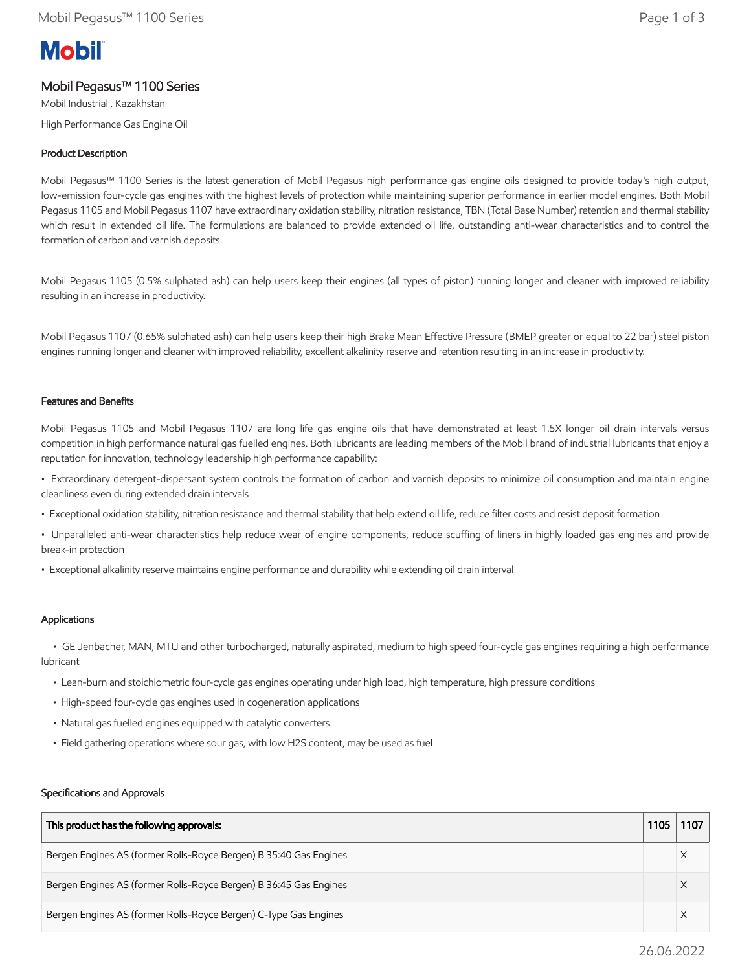# **Mobil**

# Mobil Pegasus™ 1100 Series

Mobil Industrial , Kazakhstan High Performance Gas Engine Oil

## Product Description

Mobil Pegasus™ 1100 Series is the latest generation of Mobil Pegasus high performance gas engine oils designed to provide today's high output, low-emission four-cycle gas engines with the highest levels of protection while maintaining superior performance in earlier model engines. Both Mobil Pegasus 1105 and Mobil Pegasus 1107 have extraordinary oxidation stability, nitration resistance, TBN (Total Base Number) retention and thermal stability which result in extended oil life. The formulations are balanced to provide extended oil life, outstanding anti-wear characteristics and to control the formation of carbon and varnish deposits.

Mobil Pegasus 1105 (0.5% sulphated ash) can help users keep their engines (all types of piston) running longer and cleaner with improved reliability resulting in an increase in productivity.

Mobil Pegasus 1107 (0.65% sulphated ash) can help users keep their high Brake Mean Effective Pressure (BMEP greater or equal to 22 bar) steel piston engines running longer and cleaner with improved reliability, excellent alkalinity reserve and retention resulting in an increase in productivity.

#### Features and Benefits

Mobil Pegasus 1105 and Mobil Pegasus 1107 are long life gas engine oils that have demonstrated at least 1.5X longer oil drain intervals versus competition in high performance natural gas fuelled engines. Both lubricants are leading members of the Mobil brand of industrial lubricants that enjoy a reputation for innovation, technology leadership high performance capability:

• Extraordinary detergent-dispersant system controls the formation of carbon and varnish deposits to minimize oil consumption and maintain engine cleanliness even during extended drain intervals

- Exceptional oxidation stability, nitration resistance and thermal stability that help extend oil life, reduce filter costs and resist deposit formation
- Unparalleled anti-wear characteristics help reduce wear of engine components, reduce scuffing of liners in highly loaded gas engines and provide break-in protection
- Exceptional alkalinity reserve maintains engine performance and durability while extending oil drain interval

### Applications

 • GE Jenbacher, MAN, MTU and other turbocharged, naturally aspirated, medium to high speed four-cycle gas engines requiring a high performance lubricant

- Lean-burn and stoichiometric four-cycle gas engines operating under high load, high temperature, high pressure conditions
- High-speed four-cycle gas engines used in cogeneration applications
- Natural gas fuelled engines equipped with catalytic converters
- Field gathering operations where sour gas, with low H2S content, may be used as fuel

#### Specifications and Approvals

| This product has the following approvals:                         | 1105 | 1107 |
|-------------------------------------------------------------------|------|------|
| Bergen Engines AS (former Rolls-Royce Bergen) B 35:40 Gas Engines |      |      |
| Bergen Engines AS (former Rolls-Royce Bergen) B 36:45 Gas Engines |      |      |
| Bergen Engines AS (former Rolls-Royce Bergen) C-Type Gas Engines  |      |      |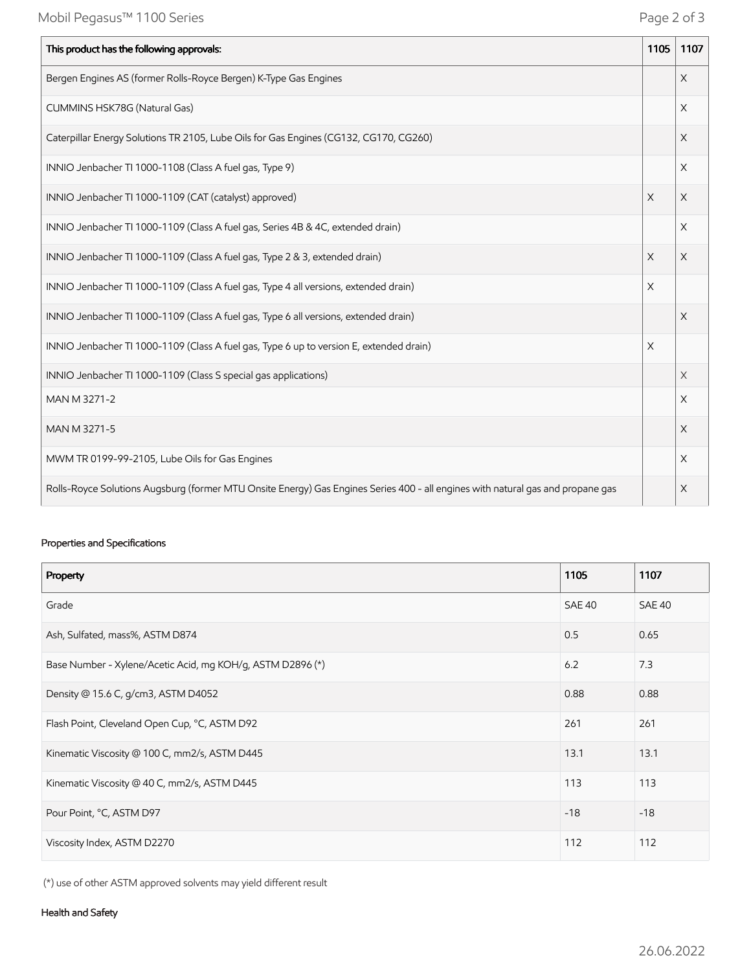| This product has the following approvals:                                                                                       | 1105     | 1107     |
|---------------------------------------------------------------------------------------------------------------------------------|----------|----------|
| Bergen Engines AS (former Rolls-Royce Bergen) K-Type Gas Engines                                                                |          | $\times$ |
| CUMMINS HSK78G (Natural Gas)                                                                                                    |          | $\times$ |
| Caterpillar Energy Solutions TR 2105, Lube Oils for Gas Engines (CG132, CG170, CG260)                                           |          | $\times$ |
| INNIO Jenbacher TI 1000-1108 (Class A fuel gas, Type 9)                                                                         |          | $\times$ |
| INNIO Jenbacher TI 1000-1109 (CAT (catalyst) approved)                                                                          | $\times$ | X        |
| INNIO Jenbacher TI 1000-1109 (Class A fuel gas, Series 4B & 4C, extended drain)                                                 |          | $\times$ |
| INNIO Jenbacher TI 1000-1109 (Class A fuel gas, Type 2 & 3, extended drain)                                                     | X        | $\times$ |
| INNIO Jenbacher TI 1000-1109 (Class A fuel gas, Type 4 all versions, extended drain)                                            | X        |          |
| INNIO Jenbacher TI 1000-1109 (Class A fuel gas, Type 6 all versions, extended drain)                                            |          | $\times$ |
| INNIO Jenbacher TI 1000-1109 (Class A fuel gas, Type 6 up to version E, extended drain)                                         | $\times$ |          |
| INNIO Jenbacher TI 1000-1109 (Class S special gas applications)                                                                 |          | $\times$ |
| MAN M 3271-2                                                                                                                    |          | X        |
| MAN M 3271-5                                                                                                                    |          | $\times$ |
| MWM TR 0199-99-2105, Lube Oils for Gas Engines                                                                                  |          | $\times$ |
| Rolls-Royce Solutions Augsburg (former MTU Onsite Energy) Gas Engines Series 400 - all engines with natural gas and propane gas |          | $\times$ |

## Properties and Specifications

| Property                                                   | 1105   | 1107          |
|------------------------------------------------------------|--------|---------------|
| Grade                                                      | SAE 40 | <b>SAE 40</b> |
| Ash, Sulfated, mass%, ASTM D874                            | 0.5    | 0.65          |
| Base Number - Xylene/Acetic Acid, mg KOH/g, ASTM D2896 (*) | 6.2    | 7.3           |
| Density @ 15.6 C, g/cm3, ASTM D4052                        | 0.88   | 0.88          |
| Flash Point, Cleveland Open Cup, °C, ASTM D92              | 261    | 261           |
| Kinematic Viscosity @ 100 C, mm2/s, ASTM D445              | 13.1   | 13.1          |
| Kinematic Viscosity @ 40 C, mm2/s, ASTM D445               | 113    | 113           |
| Pour Point, °C, ASTM D97                                   | $-18$  | $-18$         |
| Viscosity Index, ASTM D2270                                | 112    | 112           |

(\*) use of other ASTM approved solvents may yield different result